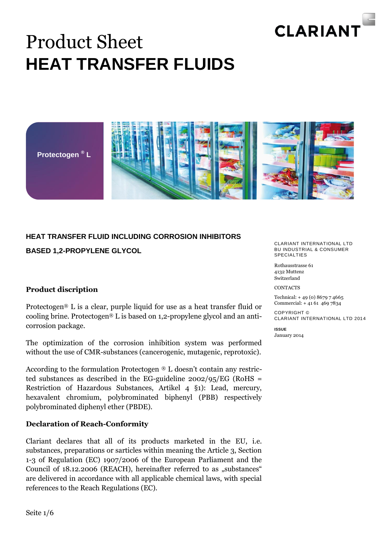

## Product Sheet **HEAT TRANSFER FLUIDS**





### **HEAT TRANSFER FLUID INCLUDING CORROSION INHIBITORS BASED 1,2-PROPYLENE GLYCOL**

#### **Product discription**

Protectogen® L is a clear, purple liquid for use as a heat transfer fluid or cooling brine. Protectogen® L is based on 1,2-propylene glycol and an anticorrosion package.

The optimization of the corrosion inhibition system was performed without the use of CMR-substances (cancerogenic, mutagenic, reprotoxic).

According to the formulation Protectogen  $\mathcal{D}$  L doesn't contain any restricted substances as described in the EG-guideline 2002/95/EG (RoHS = Restriction of Hazardous Substances, Artikel 4 §1): Lead, mercury, hexavalent chromium, polybrominated biphenyl (PBB) respectively polybrominated diphenyl ether (PBDE).

#### **Declaration of Reach-Conformity**

Clariant declares that all of its products marketed in the EU, i.e. substances, preparations or sarticles within meaning the Article 3, Section 1-3 of Regulation (EC) 1907/2006 of the European Parliament and the Council of 18.12.2006 (REACH), hereinafter referred to as "substances" are delivered in accordance with all applicable chemical laws, with special references to the Reach Regulations (EC).

CLARIANT INTERNATIONAL LTD BU INDUSTRIAL & CONSUMER SPECIAL TIES

Rothausstrasse 61 4132 Muttenz Switzerland

**CONTACTS** 

Technical: + 49 (0) 8679 7 4665 Commercial: + 41 61 469 7834

COPYRIGHT © CLARIANT INTERNATIONAL LTD 2014

**ISSUE** January 2014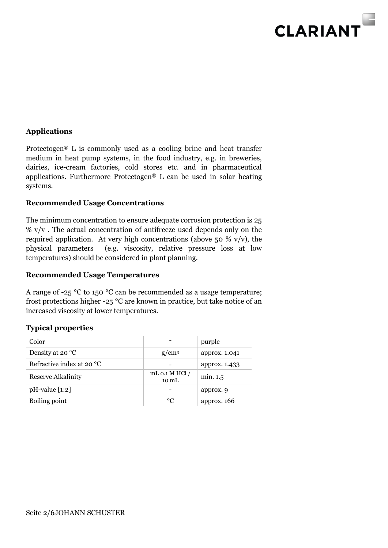

#### **Applications**

Protectogen® L is commonly used as a cooling brine and heat transfer medium in heat pump systems, in the food industry, e.g. in breweries, dairies, ice-cream factories, cold stores etc. and in pharmaceutical applications. Furthermore Protectogen® L can be used in solar heating systems.

#### **Recommended Usage Concentrations**

The minimum concentration to ensure adequate corrosion protection is 25  $% v/v$ . The actual concentration of antifreeze used depends only on the required application. At very high concentrations (above 50 % v/v), the physical parameters (e.g. viscosity, relative pressure loss at low temperatures) should be considered in plant planning.

#### **Recommended Usage Temperatures**

A range of -25 °C to 150 °C can be recommended as a usage temperature; frost protections higher -25 °C are known in practice, but take notice of an increased viscosity at lower temperatures.

#### **Typical properties**

| Color                     |                             | purple        |
|---------------------------|-----------------------------|---------------|
| Density at 20 °C          | $g/cm^3$                    | approx. 1.041 |
| Refractive index at 20 °C |                             | approx. 1.433 |
| Reserve Alkalinity        | mL $0.1$ M HCl $/$<br>10 mL | min. 1.5      |
| $pH$ -value $[1:2]$       |                             | approx. 9     |
| Boiling point             | $^{\circ}C$                 | approx. $166$ |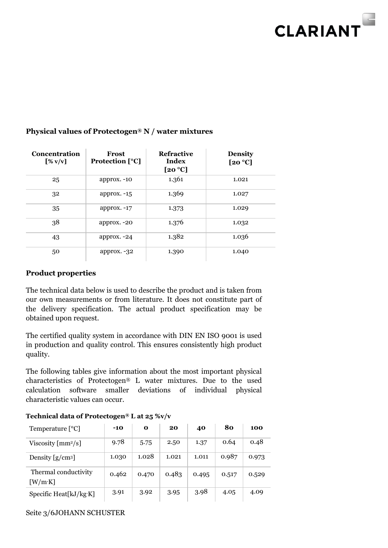

| <b>Concentration</b><br>$[\% \text{ v/v}]$ | Frost<br><b>Protection</b> [°C] | <b>Refractive</b><br>Index<br>[20 °C] | <b>Density</b><br>[20 $°C$ ] |  |
|--------------------------------------------|---------------------------------|---------------------------------------|------------------------------|--|
| 25                                         | approx. -10                     | 1.361                                 | 1.021                        |  |
| 32                                         | approx. $-15$                   | 1.369                                 | 1.027                        |  |
| 35                                         | approx. $-17$                   | 1.373                                 | 1.029                        |  |
| 38                                         | approx. -20                     | 1.376                                 | 1.032                        |  |
| 43                                         | approx. $-24$                   | 1.382                                 | 1.036                        |  |
| 50                                         | approx. $-32$                   | 1.390                                 | 1.040                        |  |

#### **Physical values of Protectogen® N / water mixtures**

#### **Product properties**

The technical data below is used to describe the product and is taken from our own measurements or from literature. It does not constitute part of the delivery specification. The actual product specification may be obtained upon request.

The certified quality system in accordance with DIN EN ISO 9001 is used in production and quality control. This ensures consistently high product quality.

The following tables give information about the most important physical characteristics of Protectogen® L water mixtures. Due to the used calculation software smaller deviations of individual physical characteristic values can occur.

| Temperature $[°C]$             | $-10$ | $\mathbf o$ | 20    | 40    | 80    | 100   |
|--------------------------------|-------|-------------|-------|-------|-------|-------|
| Viscosity ${\rm [mm^2/s]}$     | 9.78  | 5.75        | 2.50  | 1.37  | 0.64  | 0.48  |
| Density $[g/cm3]$              | 1.030 | 1.028       | 1.021 | 1.011 | 0.987 | 0.973 |
| Thermal conductivity<br>[W/mK] | 0.462 | 0.470       | 0.483 | 0.495 | 0.517 | 0.529 |
| Specific Heat[kJ/kg·K]         | 3.91  | 3.92        | 3.95  | 3.98  | 4.05  | 4.09  |

#### **Technical data of Protectogen® L at 25 %v/v**

Seite 3/6JOHANN SCHUSTER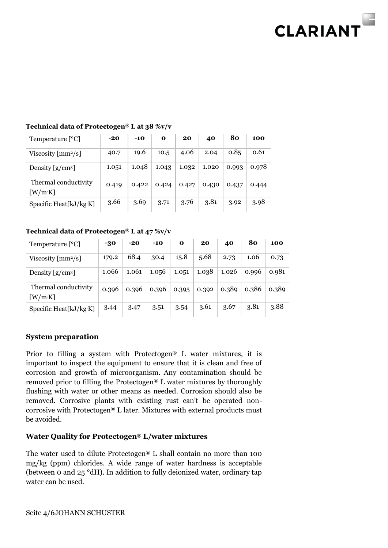# **CLARIANT**

| Temperature $[°C]$             | $-20$ | $-10$ | $\mathbf{o}$ | 20    | 40    | 80    | 100   |
|--------------------------------|-------|-------|--------------|-------|-------|-------|-------|
| Viscosity ${\rm [mm^2/s]}$     | 40.7  | 19.6  | 10.5         | 4.06  | 2.04  | 0.85  | 0.61  |
| Density $[g/cm3]$              | 1.051 | 1.048 | 1.043        | 1.032 | 1.020 | 0.993 | 0.978 |
| Thermal conductivity<br>[W/mK] | 0.419 | 0.422 | 0.424        | 0.427 | 0.430 | 0.437 | 0.444 |
| Specific Heat[kJ/kg·K]         | 3.66  | 3.69  | 3.71         | 3.76  | 3.81  | 3.92  | 3.98  |

#### **Technical data of Protectogen® L at 38 %v/v**

#### **Technical data of Protectogen® L at 47 %v/v**

| Temperature $[°C]$                            | -30   | $-20$ | $-10$ | $\mathbf 0$ | 20    | 40    | 80    | 100   |
|-----------------------------------------------|-------|-------|-------|-------------|-------|-------|-------|-------|
| Viscosity $\left[\text{mm}^2/\text{s}\right]$ | 179.2 | 68.4  | 30.4  | 15.8        | 5.68  | 2.73  | 1.06  | 0.73  |
| Density $[g/cm3]$                             | 1.066 | 1.061 | 1.056 | 1.051       | 1.038 | 1.026 | 0.996 | 0.981 |
| Thermal conductivity<br>[W/mK]                | 0.396 | 0.396 | 0.396 | 0.395       | 0.392 | 0.389 | 0.386 | 0.389 |
| Specific Heat[kJ/kg·K]                        | 3.44  | 3.47  | 3.51  | 3.54        | 3.61  | 3.67  | 3.81  | 3.88  |

#### **System preparation**

Prior to filling a system with Protectogen® L water mixtures, it is important to inspect the equipment to ensure that it is clean and free of corrosion and growth of microorganism. Any contamination should be removed prior to filling the Protectogen® L water mixtures by thoroughly flushing with water or other means as needed. Corrosion should also be removed. Corrosive plants with existing rust can't be operated noncorrosive with Protectogen® L later. Mixtures with external products must be avoided.

#### **Water Quality for Protectogen® L/water mixtures**

The water used to dilute Protectogen® L shall contain no more than 100 mg/kg (ppm) chlorides. A wide range of water hardness is acceptable (between 0 and 25 °dH). In addition to fully deionized water, ordinary tap water can be used.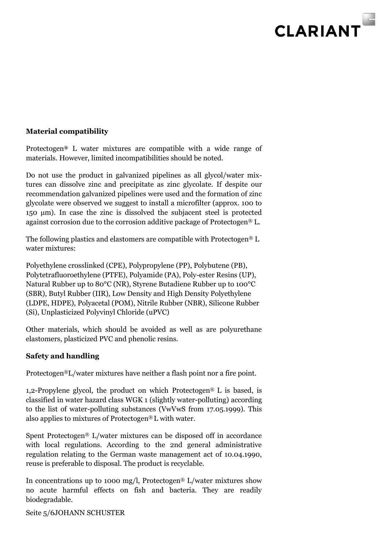

#### **Material compatibility**

Protectogen**®** L water mixtures are compatible with a wide range of materials. However, limited incompatibilities should be noted.

Do not use the product in galvanized pipelines as all glycol/water mixtures can dissolve zinc and precipitate as zinc glycolate. If despite our recommendation galvanized pipelines were used and the formation of zinc glycolate were observed we suggest to install a microfilter (approx. 100 to 150 μm). In case the zinc is dissolved the subjacent steel is protected against corrosion due to the corrosion additive package of Protectogen® L.

The following plastics and elastomers are compatible with Protectogen® L water mixtures:

Polyethylene crosslinked (CPE), Polypropylene (PP), Polybutene (PB), Polytetrafluoroethylene (PTFE), Polyamide (PA), Poly-ester Resins (UP), Natural Rubber up to 80°C (NR), Styrene Butadiene Rubber up to 100°C (SBR), Butyl Rubber (IIR), Low Density and High Density Polyethylene (LDPE, HDPE), Polyacetal (POM), Nitrile Rubber (NBR), Silicone Rubber (Si), Unplasticized Polyvinyl Chloride (uPVC)

Other materials, which should be avoided as well as are polyurethane elastomers, plasticized PVC and phenolic resins.

#### **Safety and handling**

Protectogen®L/water mixtures have neither a flash point nor a fire point.

1,2-Propylene glycol, the product on which Protectogen® L is based, is classified in water hazard class WGK 1 (slightly water-polluting) according to the list of water-polluting substances (VwVwS from 17.05.1999). This also applies to mixtures of Protectogen® L with water.

Spent Protectogen® L/water mixtures can be disposed off in accordance with local regulations. According to the 2nd general administrative regulation relating to the German waste management act of 10.04.1990, reuse is preferable to disposal. The product is recyclable.

In concentrations up to 1000 mg/l, Protectogen<sup>®</sup> L/water mixtures show no acute harmful effects on fish and bacteria. They are readily biodegradable.

Seite 5/6JOHANN SCHUSTER